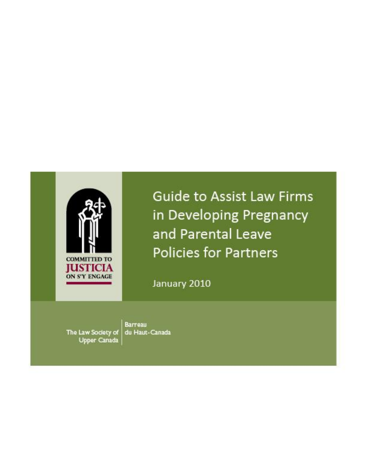

Guide to Assist Law Firms in Developing Pregnancy and Parental Leave Policies for Partners

January 2010

**Barreau** The Law Society of du Haut-Canada Upper Canada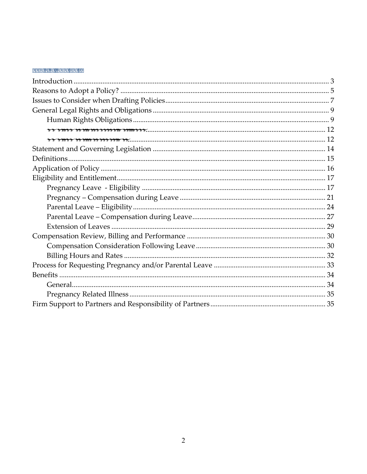#### **Table of Contents**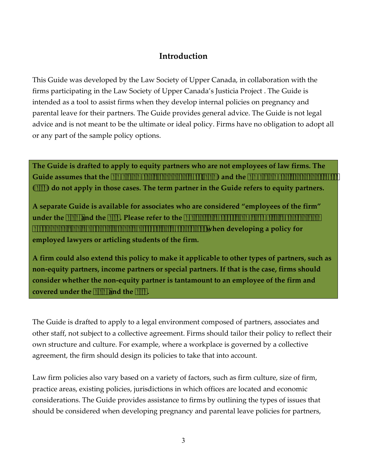# **Introduction**

<span id="page-2-0"></span> This Guide was developed by the Law Society of Upper Canada, in collaboration with the firms participating in the Law Society of Upper Canada's Justicia Project . The Guide is parental leave for their partners. The Guide provides general advice. The Guide is not legal or any part of the sample policy options. intended as a tool to assist firms when they develop internal policies on pregnancy and advice and is not meant to be the ultimate or ideal policy. Firms have no obligation to adopt all

**The Guide is drafted to apply to equity partners who are not employees of law firms. The Guide assumes that the** *Employment Standards Act* **(***ESA***) and the** *Employment Insurance Act*  **(***EIA***) do not apply in those cases. The term partner in the Guide refers to equity partners.** 

**A separate Guide is available for associates who are considered "employees of the firm" under the** *ESA* **and the** *EIA***. Please refer to the** *Guide to Assist Law Firms in Developing Pregnancy and Parental Leave Policies for Associates* **when developing a policy for employed lawyers or articling students of the firm.** 

**A firm could also extend this policy to make it applicable to other types of partners, such as non-equity partners, income partners or special partners. If that is the case, firms should consider whether the non-equity partner is tantamount to an employee of the firm and covered under the** *ESA* **and the** *EIA***.** 

The Guide is drafted to apply to a legal environment composed of partners, associates and other staff, not subject to a collective agreement. Firms should tailor their policy to reflect their own structure and culture. For example, where a workplace is governed by a collective agreement, the firm should design its policies to take that into account.

Law firm policies also vary based on a variety of factors, such as firm culture, size of firm, practice areas, existing policies, jurisdictions in which offices are located and economic considerations. The Guide provides assistance to firms by outlining the types of issues that should be considered when developing pregnancy and parental leave policies for partners,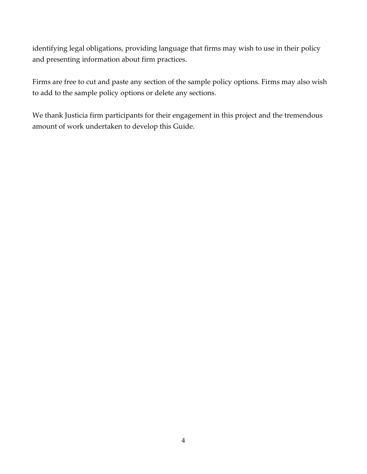identifying legal obligations, providing language that firms may wish to use in their policy and presenting information about firm practices.

 to add to the sample policy options or delete any sections. Firms are free to cut and paste any section of the sample policy options. Firms may also wish

 amount of work undertaken to develop this Guide. We thank Justicia firm participants for their engagement in this project and the tremendous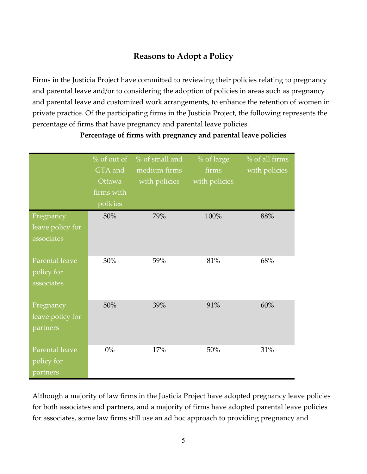# **Reasons to Adopt a Policy**

<span id="page-4-0"></span> and parental leave and/or to considering the adoption of policies in areas such as pregnancy and parental leave and customized work arrangements, to enhance the retention of women in Firms in the Justicia Project have committed to reviewing their policies relating to pregnancy private practice. Of the participating firms in the Justicia Project, the following represents the percentage of firms that have pregnancy and parental leave policies.

|                                             | % of out of<br>GTA and<br>Ottawa<br>firms with<br>policies | % of small and<br>medium firms<br>with policies | % of large<br>firms<br>with policies | % of all firms<br>with policies |
|---------------------------------------------|------------------------------------------------------------|-------------------------------------------------|--------------------------------------|---------------------------------|
| Pregnancy<br>leave policy for<br>associates | 50%                                                        | 79%                                             | 100%                                 | 88%                             |
| Parental leave<br>policy for<br>associates  | 30%                                                        | 59%                                             | 81%                                  | 68%                             |
| Pregnancy<br>leave policy for<br>partners   | 50%                                                        | 39%                                             | 91%                                  | 60%                             |
| Parental leave<br>policy for<br>partners    | 0%                                                         | 17%                                             | 50%                                  | 31%                             |

**Percentage of firms with pregnancy and parental leave policies** 

Although a majority of law firms in the Justicia Project have adopted pregnancy leave policies for both associates and partners, and a majority of firms have adopted parental leave policies for associates, some law firms still use an ad hoc approach to providing pregnancy and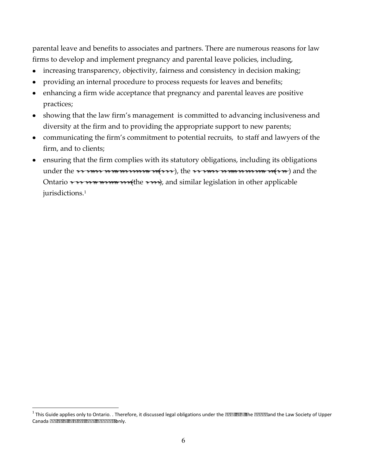parental leave and benefits to associates and partners. There are numerous reasons for law firms to develop and implement pregnancy and parental leave policies, including,

- increasing transparency, objectivity, fairness and consistency in decision making;
- providing an internal procedure to process requests for leaves and benefits;
- enhancing a firm wide acceptance that pregnancy and parental leaves are positive  $\bullet$ practices;
- showing that the law firm's management is committed to advancing inclusiveness and diversity at the firm and to providing the appropriate support to new parents;
- communicating the firm's commitment to potential recruits, to staff and lawyers of the firm, and to clients;
- ensuring that the firm complies with its statutory obligations, including its obligations under the *Employment Standards Act* (*ESA*), the *Employment Insurance Act* (*EIA*) and the Ontario *Human Rights Code* (the *Code*), and similar legislation in other applicable jurisdictions.<sup>1</sup>

 <sup>1</sup> This Guide applies only to Ontario. . Therefore, it discussed legal obligations under the *ESA, EIA,* the *Code* and the Law Society of Upper Canada *Rules of Professional Conduct* only.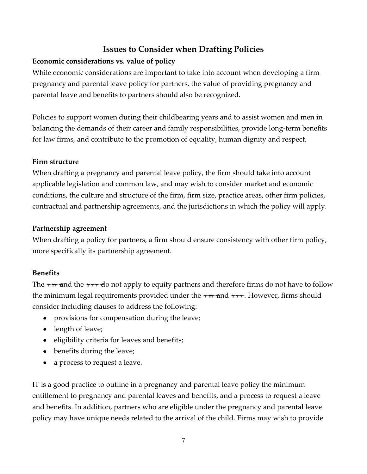# **Issues to Consider when Drafting Policies**

### <span id="page-6-0"></span>**Economic considerations vs. value of policy**

While economic considerations are important to take into account when developing a firm pregnancy and parental leave policy for partners, the value of providing pregnancy and parental leave and benefits to partners should also be recognized.

Policies to support women during their childbearing years and to assist women and men in balancing the demands of their career and family responsibilities, provide long-term benefits for law firms, and contribute to the promotion of equality, human dignity and respect.

#### **Firm structure**

 applicable legislation and common law, and may wish to consider market and economic When drafting a pregnancy and parental leave policy, the firm should take into account conditions, the culture and structure of the firm, firm size, practice areas, other firm policies, contractual and partnership agreements, and the jurisdictions in which the policy will apply.

#### **Partnership agreement**

When drafting a policy for partners, a firm should ensure consistency with other firm policy, more specifically its partnership agreement.

### **Benefits**

The *EIA* and the *ESA* do not apply to equity partners and therefore firms do not have to follow the minimum legal requirements provided under the *EIA* and *ESA*. However, firms should consider including clauses to address the following:

- provisions for compensation during the leave;
- length of leave;
- eligibility criteria for leaves and benefits;
- benefits during the leave;
- a process to request a leave.

IT is a good practice to outline in a pregnancy and parental leave policy the minimum entitlement to pregnancy and parental leaves and benefits, and a process to request a leave and benefits. In addition, partners who are eligible under the pregnancy and parental leave policy may have unique needs related to the arrival of the child. Firms may wish to provide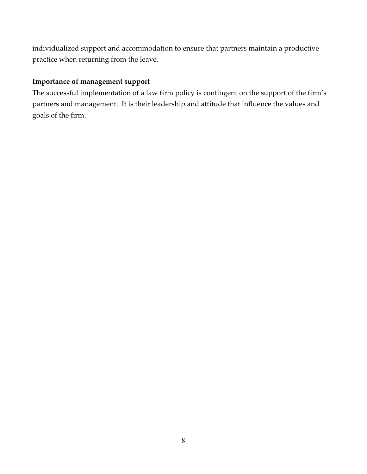individualized support and accommodation to ensure that partners maintain a productive practice when returning from the leave.

#### **Importance of management support**

 The successful implementation of a law firm policy is contingent on the support of the firm's partners and management. It is their leadership and attitude that influence the values and goals of the firm.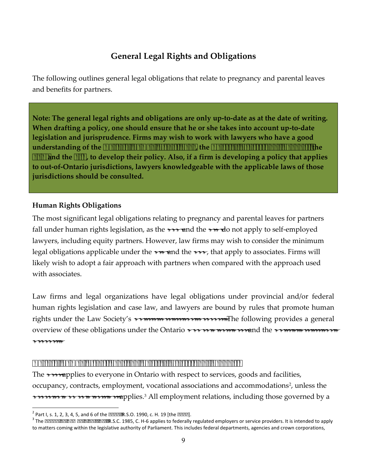# **General Legal Rights and Obligations**

<span id="page-8-0"></span>The following outlines general legal obligations that relate to pregnancy and parental leaves and benefits for partners.

**Note: The general legal rights and obligations are only up-to-date as at the date of writing. When drafting a policy, one should ensure that he or she takes into account up-to-date legislation and jurisprudence. Firms may wish to work with lawyers who have a good understanding of the** *Ontario Human Rights Code***, the** *Rules of Professional Conduct,* **the**  *ESA* **and the** *EIA***, to develop their policy. Also, if a firm is developing a policy that applies to out-of-Ontario jurisdictions, lawyers knowledgeable with the applicable laws of those jurisdictions should be consulted.** 

#### <span id="page-8-1"></span>**Human Rights Obligations**

 legal obligations applicable under the *EIA* and the *ESA*, that apply to associates. Firms will The most significant legal obligations relating to pregnancy and parental leaves for partners fall under human rights legislation, as the *ESA* and the *EIA* do not apply to self-employed lawyers, including equity partners. However, law firms may wish to consider the minimum likely wish to adopt a fair approach with partners when compared with the approach used with associates.

 Law firms and legal organizations have legal obligations under provincial and/or federal human rights legislation and case law, and lawyers are bound by rules that promote human rights under the Law Society's *Rules of Professional Conduct.* The following provides a general overview of these obligations under the Ontario *Human Rights Code* and the *Rules of Professional Conduct.* 

#### *Ontario Human Rights Code and Rules of Professional Conduct*

The *Code* applies to everyone in Ontario with respect to services, goods and facilities, occupancy, contracts, employment, vocational associations and accommodations<sup>2</sup>, unless the *Canadian Human Rights Act* applies.3 All employment relations, including those governed by a

 $\overline{a}$  $2$  Part I, s. 1, 2, 3, 4, 5, and 6 of the Code, R.S.O. 1990, c. H. 19 [the Code].

<sup>&</sup>lt;sup>2</sup> Part I, s. 1, 2, 3, 4, 5, and 6 of the *Code,* R.S.O. 1990, c. H. 19 [the *Code*].<br><sup>3</sup> The *Canadian Human Rights Act,* R.S.C. 1985, C. H-6 applies to federally regulated employers or service providers. It is intended to matters coming within the legislative authority of Parliament. This includes federal departments, agencies and crown corporations,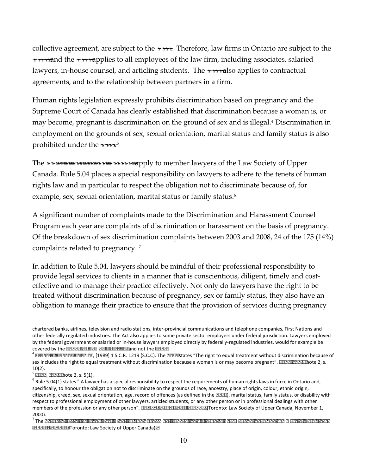collective agreement, are subject to the *Code*. Therefore, law firms in Ontario are subject to the *Code,* and the *Code* applies to all employees of the law firm, including associates, salaried lawyers, in-house counsel, and articling students. The *Code* also applies to contractual agreements, and to the relationship between partners in a firm.

 Supreme Court of Canada has clearly established that discrimination because a woman is, or may become, pregnant is discrimination on the ground of sex and is illegal.4 Discrimination in employment on the grounds of sex, sexual orientation, marital status and family status is also prohibited under the *Code*. 5 Human rights legislation expressly prohibits discrimination based on pregnancy and the

 example, sex, sexual orientation, marital status or family status.6 The *Rules of Professional Conduct* apply to member lawyers of the Law Society of Upper Canada. Rule 5.04 places a special responsibility on lawyers to adhere to the tenets of human rights law and in particular to respect the obligation not to discriminate because of, for

complaints related to pregnancy.  $^7$ A significant number of complaints made to the Discrimination and Harassment Counsel Program each year are complaints of discrimination or harassment on the basis of pregnancy. Of the breakdown of sex discrimination complaints between 2003 and 2008, 24 of the 175 (14%)

 effective and to manage their practice effectively. Not only do lawyers have the right to be In addition to Rule 5.04, lawyers should be mindful of their professional responsibility to provide legal services to clients in a manner that is conscientious, diligent, timely and costtreated without discrimination because of pregnancy, sex or family status, they also have an obligation to manage their practice to ensure that the provision of services during pregnancy

 $\overline{a}$ 

covered by the *Canadian Human Rights Act* and not the *Code*. chartered banks, airlines, television and radio stations, inter-provincial communications and telephone companies, First Nations and other federally regulated industries. The Act also applies to some private sector employers under federal jurisdiction. Lawyers employed by the federal government or salaried or in-house lawyers employed directly by federally-regulated industries, would for example be

covered by the *Canadian Human Rights Act* and not the *Code.*<br><sup>4</sup> *Brooks v. Canada Safeway,* [1989] 1 S.C.R. 1219 (S.C.C). The *Code* states "The right to equal treatment without discrimination because of sex includes the right to equal treatment without discrimination because a woman is or may become pregnant". *Code, supra* note 2, s.

 specifically, to honour the obligation not to discriminate on the grounds of race, ancestry, place of origin, colour, ethnic origin, 10(2).<br><sup>5</sup> *Code, supra* note 2, s. 5(1).<br><sup>6</sup> Rule 5.04(1) states " A lawyer has a special responsibility to respect the requirements of human rights laws in force in Ontario and, citizenship, creed, sex, sexual orientation, age, record of offences (as defined in the *Code*), marital status, family status, or disability with respect to professional employment of other lawyers, articled students, or any other person or in professional dealings with other members of the profession or any other person". *Rules of Professional Conduct* (Toronto: Law Society of Upper Canada, November 1,

<sup>2000).&</sup>lt;br><sup>7</sup> The *Report of Activities of the Discrimination and Harassment Counsel, July 1, 2008 to December 31, 2008 and Summary of Data Since January 1, 2003* (Toronto: Law Society of Upper Canada)*.*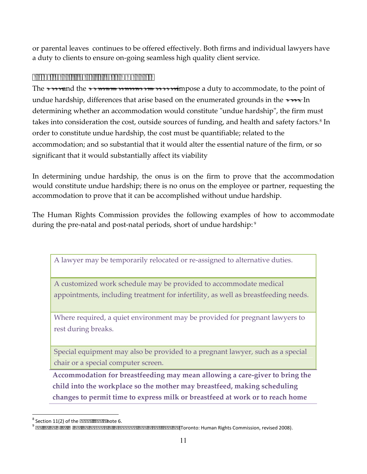or parental leaves continues to be offered effectively. Both firms and individual lawyers have a duty to clients to ensure on-going seamless high quality client service.

### *Firms Have a Duty to Accommodate*

determining whether an accommodation would constitute "undue hardship", the firm must order to constitute undue hardship, the cost must be quantifiable; related to the accommodation; and so substantial that it would alter the essential nature of the firm, or so significant that it would substantially affect its viability The *Code* and the *Rules of Professional Conduct* impose a duty to accommodate, to the point of undue hardship, differences that arise based on the enumerated grounds in the *Code*. In takes into consideration the cost, outside sources of funding, and health and safety factors.<sup>8</sup> In

 In determining undue hardship, the onus is on the firm to prove that the accommodation would constitute undue hardship; there is no onus on the employee or partner, requesting the accommodation to prove that it can be accomplished without undue hardship.

 The Human Rights Commission provides the following examples of how to accommodate during the pre-natal and post-natal periods, short of undue hardship: 9

A lawyer may be temporarily relocated or re-assigned to alternative duties.

A customized work schedule may be provided to accommodate medical appointments, including treatment for infertility, as well as breastfeeding needs.

 Where required, a quiet environment may be provided for pregnant lawyers to rest during breaks.

Special equipment may also be provided to a pregnant lawyer, such as a special chair or a special computer screen.

**Accommodation for breastfeeding may mean allowing a care-giver to bring the child into the workplace so the mother may breastfeed, making scheduling changes to permit time to express milk or breastfeed at work or to reach home** 

 $\overline{a}$ 

<sup>&</sup>lt;sup>8</sup> Section 11(2) of the *Code, supra* note 6.<br><sup>9</sup> Policy on Discrimination because of Pregnancy and Breastfeeding (Toronto: Human Rights Commission, revised 2008).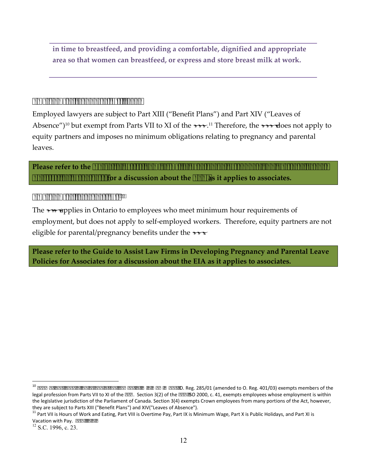**in time to breastfeed, and providing a comfortable, dignified and appropriate area so that women can breastfeed, or express and store breast milk at work.** 

#### <span id="page-11-0"></span>*Employment Standards Act, 2000*

 Absence")10 but exempt from Parts VII to XI of the *ESA*. 11 Therefore, the *ESA* does not apply to Employed lawyers are subject to Part XIII ("Benefit Plans") and Part XIV ("Leaves of equity partners and imposes no minimum obligations relating to pregnancy and parental leaves.

**Please refer to the** *Guide to Assist Law Firms in Developing Pregnancy and Parental Leave Policies for Associates* **for a discussion about the** *ESA* **as it applies to associates.** 

#### <span id="page-11-1"></span>*Employment Insurance Act12*

The *EIA* applies in Ontario to employees who meet minimum hour requirements of employment, but does not apply to self-employed workers. Therefore, equity partners are not eligible for parental/pregnancy benefits under the *EAI*.

**Please refer to the Guide to Assist Law Firms in Developing Pregnancy and Parental Leave Policies for Associates for a discussion about the EIA as it applies to associates.** 

 $\overline{a}$ 

they are subject to Parts XIII ("Benefit Plans") and XIV("Leaves of Absence"). <sup>10</sup>*Exemptions, Special Rules and Establishment of Minimum Wage,* O. Reg. 285/01 (amended to O. Reg. 401/03) exempts members of the legal profession from Parts VII to XI of the *ESA*. Section 3(2) of the *ESA,* SO 2000, c. 41, exempts employees whose employment is within the legislative jurisdiction of the Parliament of Canada. Section 3(4) exempts Crown employees from many portions of the Act, however,

they are subject to Parts XIII ("Benefit Plans") and XIV("Leaves of Absence").<br><sup>11</sup> Part VII is Hours of Work and Eating, Part VIII is Overtime Pay, Part IX is Minimum Wage, Part X is Public Holidays, and Part XI is Vacation with Pay. ESA, ibid.

 $12$  S.C. 1996, c. 23.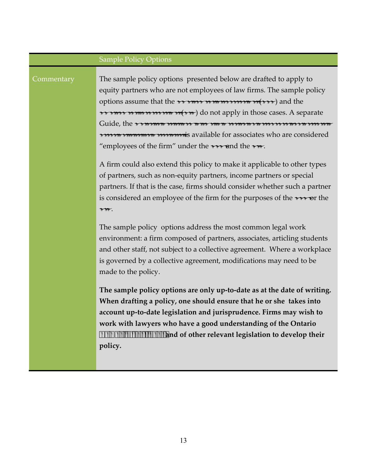# Sample Policy Options Commentary The sample policy options presented below are drafted to apply to equity partners who are not employees of law firms. The sample policy options assume that the *Employment Standards Act* (*ESA*) and the *Employment Insurance Act* (*EIA*) do not apply in those cases. A separate Guide, the *Guide to Assist Law Firms in Developing Pregnancy and Parental Leave Policies for Associates,* is available for associates who are considered "employees of the firm" under the *ESA* and the *EIA*. A firm could also extend this policy to make it applicable to other types of partners, such as non-equity partners, income partners or special partners. If that is the case, firms should consider whether such a partner is considered an employee of the firm for the purposes of the *ESA* or the *EIA*. The sample policy options address the most common legal work environment: a firm composed of partners, associates, articling students and other staff, not subject to a collective agreement. Where a workplace is governed by a collective agreement, modifications may need to be made to the policy. **The sample policy options are only up-to-date as at the date of writing. When drafting a policy, one should ensure that he or she takes into account up-to-date legislation and jurisprudence. Firms may wish to work with lawyers who have a good understanding of the Ontario**  *Human Rights Code* **and of other relevant legislation to develop their policy.**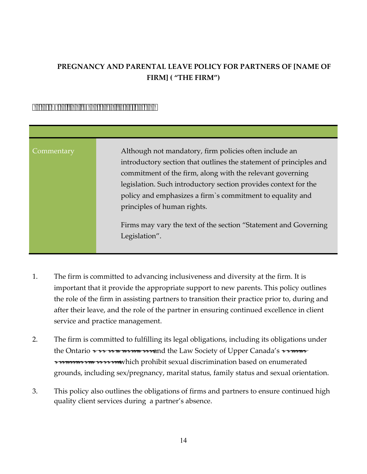# **PREGNANCY AND PARENTAL LEAVE POLICY FOR PARTNERS OF [NAME OF FIRM] ( "THE FIRM")**

#### <span id="page-13-0"></span>*Statement and Governing Legislation*

| Commentary | Although not mandatory, firm policies often include an<br>introductory section that outlines the statement of principles and<br>commitment of the firm, along with the relevant governing<br>legislation. Such introductory section provides context for the<br>policy and emphasizes a firm's commitment to equality and<br>principles of human rights. |
|------------|----------------------------------------------------------------------------------------------------------------------------------------------------------------------------------------------------------------------------------------------------------------------------------------------------------------------------------------------------------|
|            | Firms may vary the text of the section "Statement and Governing"<br>Legislation".                                                                                                                                                                                                                                                                        |

- 1. The firm is committed to advancing inclusiveness and diversity at the firm. It is important that it provide the appropriate support to new parents. This policy outlines the role of the firm in assisting partners to transition their practice prior to, during and after their leave, and the role of the partner in ensuring continued excellence in client service and practice management.
- 2. The firm is committed to fulfilling its legal obligations, including its obligations under the Ontario *Human Rights Code* and the Law Society of Upper Canada's *Rules of Professional Conduct,* which prohibit sexual discrimination based on enumerated grounds, including sex/pregnancy, marital status, family status and sexual orientation.
- 3. This policy also outlines the obligations of firms and partners to ensure continued high quality client services during a partner's absence.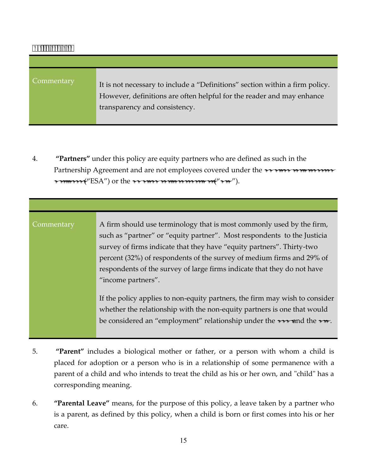#### <span id="page-14-0"></span>*Definitions*

| Commentary | It is not necessary to include a "Definitions" section within a firm policy.<br>However, definitions are often helpful for the reader and may enhance<br>transparency and consistency. |
|------------|----------------------------------------------------------------------------------------------------------------------------------------------------------------------------------------|

4. **"Partners"** under this policy are equity partners who are defined as such in the Partnership Agreement and are not employees covered under the *Employment Standards Act, 2000* ("ESA") or the *Employment Insurance Act* ("*EIA*").

Commentary A firm should use terminology that is most commonly used by the firm, such as "partner" or "equity partner". Most respondents to the Justicia survey of firms indicate that they have "equity partners". Thirty-two percent (32%) of respondents of the survey of medium firms and 29% of respondents of the survey of large firms indicate that they do not have "income partners".

> If the policy applies to non-equity partners, the firm may wish to consider whether the relationship with the non-equity partners is one that would be considered an "employment" relationship under the *ESA* and the *EIA*.

- 5. **"Parent"** includes a biological mother or father, or a person with whom a child is parent of a child and who intends to treat the child as his or her own, and "child" has a placed for adoption or a person who is in a relationship of some permanence with a corresponding meaning.
- is a parent, as defined by this policy, when a child is born or first comes into his or her 6. **"Parental Leave"** means, for the purpose of this policy, a leave taken by a partner who care.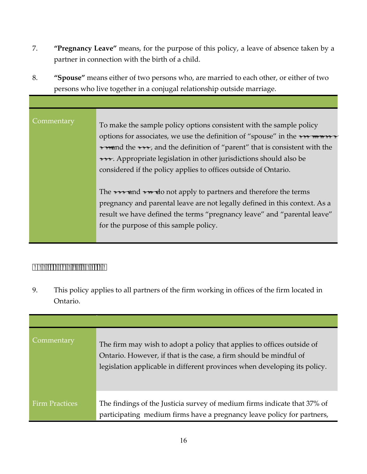- 7. **"Pregnancy Leave"** means, for the purpose of this policy, a leave of absence taken by a partner in connection with the birth of a child.
- 8. **"Spouse"** means either of two persons who, are married to each other, or either of two persons who live together in a conjugal relationship outside marriage.

| Commentary | To make the sample policy options consistent with the sample policy            |
|------------|--------------------------------------------------------------------------------|
|            | options for associates, we use the definition of "spouse" in the Family Law    |
|            | Act and the ESA, and the definition of "parent" that is consistent with the    |
|            | ESA. Appropriate legislation in other jurisdictions should also be             |
|            | considered if the policy applies to offices outside of Ontario.                |
|            |                                                                                |
|            | The <i>ESA</i> and <i>EIA</i> do not apply to partners and therefore the terms |
|            | pregnancy and parental leave are not legally defined in this context. As a     |
|            | result we have defined the terms "pregnancy leave" and "parental leave"        |
|            | for the purpose of this sample policy.                                         |
|            |                                                                                |

## <span id="page-15-0"></span>*Application of Policy*

9. This policy applies to all partners of the firm working in offices of the firm located in Ontario.

| Commentary            | The firm may wish to adopt a policy that applies to offices outside of<br>Ontario. However, if that is the case, a firm should be mindful of<br>legislation applicable in different provinces when developing its policy. |
|-----------------------|---------------------------------------------------------------------------------------------------------------------------------------------------------------------------------------------------------------------------|
| <b>Firm Practices</b> | The findings of the Justicia survey of medium firms indicate that 37% of<br>participating medium firms have a pregnancy leave policy for partners,                                                                        |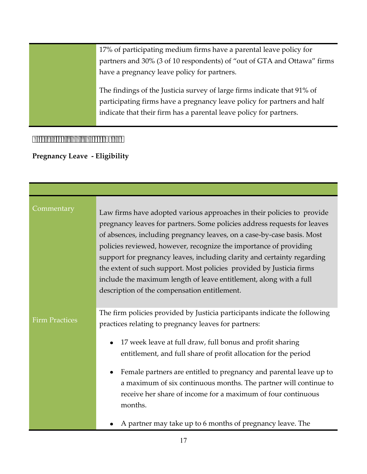17% of participating medium firms have a parental leave policy for partners and 30% (3 of 10 respondents) of "out of GTA and Ottawa" firms have a pregnancy leave policy for partners. The findings of the Justicia survey of large firms indicate that 91% of participating firms have a pregnancy leave policy for partners and half indicate that their firm has a parental leave policy for partners.

#### <span id="page-16-0"></span>*Eligibility and Entitlement*

<span id="page-16-1"></span> **Pregnancy Leave - Eligibility** 

| Commentary            | Law firms have adopted various approaches in their policies to provide<br>pregnancy leaves for partners. Some policies address requests for leaves<br>of absences, including pregnancy leaves, on a case-by-case basis. Most<br>policies reviewed, however, recognize the importance of providing<br>support for pregnancy leaves, including clarity and certainty regarding<br>the extent of such support. Most policies provided by Justicia firms<br>include the maximum length of leave entitlement, along with a full<br>description of the compensation entitlement. |
|-----------------------|----------------------------------------------------------------------------------------------------------------------------------------------------------------------------------------------------------------------------------------------------------------------------------------------------------------------------------------------------------------------------------------------------------------------------------------------------------------------------------------------------------------------------------------------------------------------------|
| <b>Firm Practices</b> | The firm policies provided by Justicia participants indicate the following<br>practices relating to pregnancy leaves for partners:<br>17 week leave at full draw, full bonus and profit sharing<br>entitlement, and full share of profit allocation for the period<br>Female partners are entitled to pregnancy and parental leave up to<br>a maximum of six continuous months. The partner will continue to<br>receive her share of income for a maximum of four continuous<br>months.<br>A partner may take up to 6 months of pregnancy leave. The                       |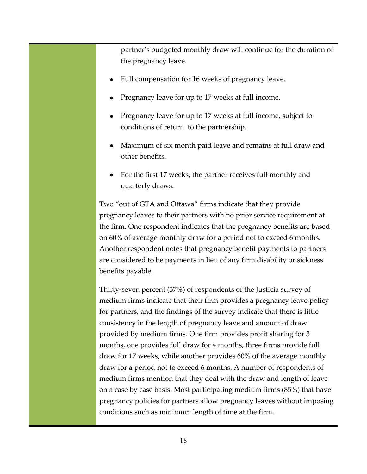partner's budgeted monthly draw will continue for the duration of the pregnancy leave.

- Full compensation for 16 weeks of pregnancy leave.
- Pregnancy leave for up to 17 weeks at full income.
- Pregnancy leave for up to 17 weeks at full income, subject to conditions of return to the partnership.
- Maximum of six month paid leave and remains at full draw and other benefits.
- For the first 17 weeks, the partner receives full monthly and quarterly draws.

Two "out of GTA and Ottawa" firms indicate that they provide pregnancy leaves to their partners with no prior service requirement at the firm. One respondent indicates that the pregnancy benefits are based on 60% of average monthly draw for a period not to exceed 6 months. Another respondent notes that pregnancy benefit payments to partners are considered to be payments in lieu of any firm disability or sickness benefits payable.

Thirty-seven percent (37%) of respondents of the Justicia survey of medium firms indicate that their firm provides a pregnancy leave policy for partners, and the findings of the survey indicate that there is little consistency in the length of pregnancy leave and amount of draw provided by medium firms. One firm provides profit sharing for 3 months, one provides full draw for 4 months, three firms provide full draw for 17 weeks, while another provides 60% of the average monthly draw for a period not to exceed 6 months. A number of respondents of medium firms mention that they deal with the draw and length of leave on a case by case basis. Most participating medium firms (85%) that have pregnancy policies for partners allow pregnancy leaves without imposing conditions such as minimum length of time at the firm.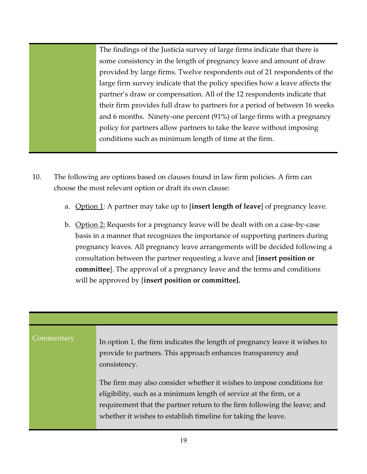The findings of the Justicia survey of large firms indicate that there is some consistency in the length of pregnancy leave and amount of draw provided by large firms. Twelve respondents out of 21 respondents of the large firm survey indicate that the policy specifies how a leave affects the partner's draw or compensation. All of the 12 respondents indicate that their firm provides full draw to partners for a period of between 16 weeks and 6 months. Ninety-one percent (91%) of large firms with a pregnancy policy for partners allow partners to take the leave without imposing conditions such as minimum length of time at the firm.

- 10. The following are options based on clauses found in law firm policies. A firm can choose the most relevant option or draft its own clause:
	- a. Option 1: A partner may take up to [**insert length of leave**] of pregnancy leave.
	- b. Option 2: Requests for a pregnancy leave will be dealt with on a case-by-case basis in a manner that recognizes the importance of supporting partners during pregnancy leaves. All pregnancy leave arrangements will be decided following a consultation between the partner requesting a leave and [**insert position or committee**]. The approval of a pregnancy leave and the terms and conditions will be approved by [**insert position or committee].**

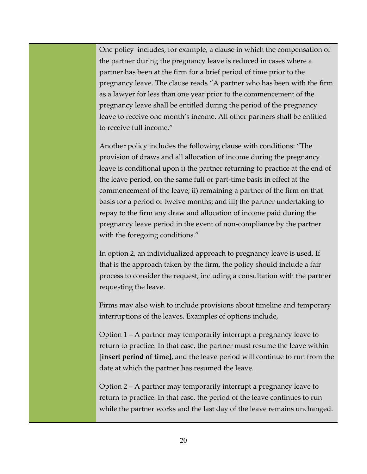One policy includes, for example, a clause in which the compensation of the partner during the pregnancy leave is reduced in cases where a partner has been at the firm for a brief period of time prior to the pregnancy leave. The clause reads "A partner who has been with the firm as a lawyer for less than one year prior to the commencement of the pregnancy leave shall be entitled during the period of the pregnancy leave to receive one month's income. All other partners shall be entitled to receive full income."

Another policy includes the following clause with conditions: "The provision of draws and all allocation of income during the pregnancy leave is conditional upon i) the partner returning to practice at the end of the leave period, on the same full or part-time basis in effect at the commencement of the leave; ii) remaining a partner of the firm on that basis for a period of twelve months; and iii) the partner undertaking to repay to the firm any draw and allocation of income paid during the pregnancy leave period in the event of non-compliance by the partner with the foregoing conditions."

In option 2, an individualized approach to pregnancy leave is used. If that is the approach taken by the firm, the policy should include a fair process to consider the request, including a consultation with the partner requesting the leave.

Firms may also wish to include provisions about timeline and temporary interruptions of the leaves. Examples of options include,

Option 1 – A partner may temporarily interrupt a pregnancy leave to return to practice. In that case, the partner must resume the leave within [**insert period of time],** and the leave period will continue to run from the date at which the partner has resumed the leave.

Option 2 – A partner may temporarily interrupt a pregnancy leave to return to practice. In that case, the period of the leave continues to run while the partner works and the last day of the leave remains unchanged.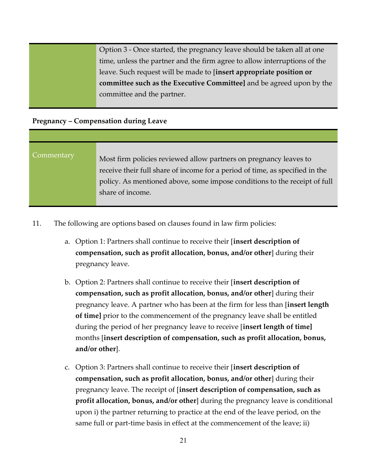Option 3 - Once started, the pregnancy leave should be taken all at one time, unless the partner and the firm agree to allow interruptions of the leave. Such request will be made to [**insert appropriate position or committee such as the Executive Committee]** and be agreed upon by the committee and the partner.

#### <span id="page-20-0"></span> **Pregnancy – Compensation during Leave**

# Commentary Most firm policies reviewed allow partners on pregnancy leaves to receive their full share of income for a period of time, as specified in the policy. As mentioned above, some impose conditions to the receipt of full share of income.

- 11. The following are options based on clauses found in law firm policies:
	- a. Option 1: Partners shall continue to receive their [**insert description of compensation, such as profit allocation, bonus, and/or other**] during their pregnancy leave.
	- pregnancy leave. A partner who has been at the firm for less than [**insert length** b. Option 2: Partners shall continue to receive their [**insert description of compensation, such as profit allocation, bonus, and/or other**] during their **of time]** prior to the commencement of the pregnancy leave shall be entitled during the period of her pregnancy leave to receive [**insert length of time]** months [**insert description of compensation, such as profit allocation, bonus, and/or other**].
	- c. Option 3: Partners shall continue to receive their [**insert description of compensation, such as profit allocation, bonus, and/or other**] during their pregnancy leave. The receipt of [**insert description of compensation, such as profit allocation, bonus, and/or other**] during the pregnancy leave is conditional upon i) the partner returning to practice at the end of the leave period, on the same full or part-time basis in effect at the commencement of the leave; ii)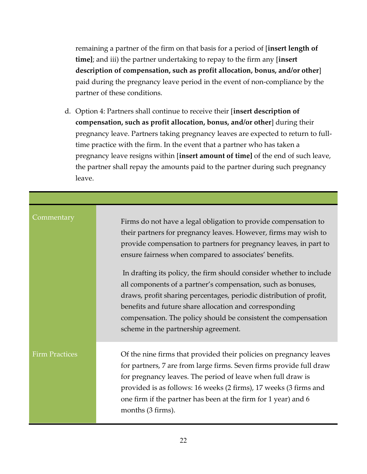remaining a partner of the firm on that basis for a period of [**insert length of time]**; and iii) the partner undertaking to repay to the firm any [**insert description of compensation, such as profit allocation, bonus, and/or other**] paid during the pregnancy leave period in the event of non-compliance by the partner of these conditions.

 time practice with the firm. In the event that a partner who has taken a d. Option 4: Partners shall continue to receive their [**insert description of compensation, such as profit allocation, bonus, and/or other**] during their pregnancy leave. Partners taking pregnancy leaves are expected to return to fullpregnancy leave resigns within [**insert amount of time]** of the end of such leave, the partner shall repay the amounts paid to the partner during such pregnancy leave.

| Commentary            | Firms do not have a legal obligation to provide compensation to<br>their partners for pregnancy leaves. However, firms may wish to<br>provide compensation to partners for pregnancy leaves, in part to<br>ensure fairness when compared to associates' benefits.                                                                                                              |
|-----------------------|--------------------------------------------------------------------------------------------------------------------------------------------------------------------------------------------------------------------------------------------------------------------------------------------------------------------------------------------------------------------------------|
|                       | In drafting its policy, the firm should consider whether to include<br>all components of a partner's compensation, such as bonuses,<br>draws, profit sharing percentages, periodic distribution of profit,<br>benefits and future share allocation and corresponding<br>compensation. The policy should be consistent the compensation<br>scheme in the partnership agreement. |
| <b>Firm Practices</b> | Of the nine firms that provided their policies on pregnancy leaves<br>for partners, 7 are from large firms. Seven firms provide full draw<br>for pregnancy leaves. The period of leave when full draw is<br>provided is as follows: 16 weeks (2 firms), 17 weeks (3 firms and<br>one firm if the partner has been at the firm for 1 year) and 6<br>months (3 firms).           |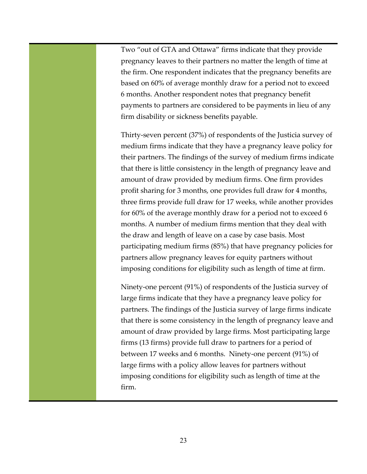Two "out of GTA and Ottawa" firms indicate that they provide pregnancy leaves to their partners no matter the length of time at the firm. One respondent indicates that the pregnancy benefits are based on 60% of average monthly draw for a period not to exceed 6 months. Another respondent notes that pregnancy benefit payments to partners are considered to be payments in lieu of any firm disability or sickness benefits payable.

 their partners. The findings of the survey of medium firms indicate Thirty-seven percent (37%) of respondents of the Justicia survey of medium firms indicate that they have a pregnancy leave policy for that there is little consistency in the length of pregnancy leave and amount of draw provided by medium firms. One firm provides profit sharing for 3 months, one provides full draw for 4 months, three firms provide full draw for 17 weeks, while another provides for 60% of the average monthly draw for a period not to exceed 6 months. A number of medium firms mention that they deal with the draw and length of leave on a case by case basis. Most participating medium firms (85%) that have pregnancy policies for partners allow pregnancy leaves for equity partners without imposing conditions for eligibility such as length of time at firm.

Ninety-one percent (91%) of respondents of the Justicia survey of large firms indicate that they have a pregnancy leave policy for partners. The findings of the Justicia survey of large firms indicate that there is some consistency in the length of pregnancy leave and amount of draw provided by large firms. Most participating large firms (13 firms) provide full draw to partners for a period of between 17 weeks and 6 months. Ninety-one percent (91%) of large firms with a policy allow leaves for partners without imposing conditions for eligibility such as length of time at the firm.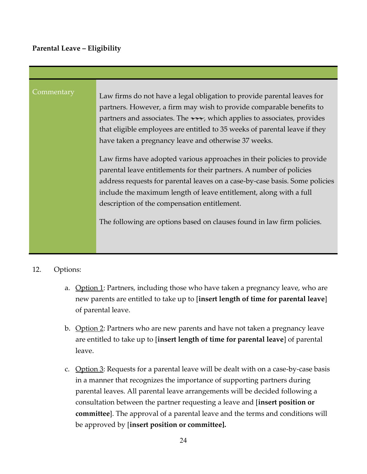### <span id="page-23-0"></span>**Parental Leave – Eligibility**

| Commentary | Law firms do not have a legal obligation to provide parental leaves for                                                                                                                                                                                                                                                                             |
|------------|-----------------------------------------------------------------------------------------------------------------------------------------------------------------------------------------------------------------------------------------------------------------------------------------------------------------------------------------------------|
|            | partners. However, a firm may wish to provide comparable benefits to                                                                                                                                                                                                                                                                                |
|            | partners and associates. The ESA, which applies to associates, provides                                                                                                                                                                                                                                                                             |
|            | that eligible employees are entitled to 35 weeks of parental leave if they                                                                                                                                                                                                                                                                          |
|            | have taken a pregnancy leave and otherwise 37 weeks.                                                                                                                                                                                                                                                                                                |
|            | Law firms have adopted various approaches in their policies to provide<br>parental leave entitlements for their partners. A number of policies<br>address requests for parental leaves on a case-by-case basis. Some policies<br>include the maximum length of leave entitlement, along with a full<br>description of the compensation entitlement. |
|            | The following are options based on clauses found in law firm policies.                                                                                                                                                                                                                                                                              |
|            |                                                                                                                                                                                                                                                                                                                                                     |

#### 12. Options:

- a. Option 1: Partners, including those who have taken a pregnancy leave, who are new parents are entitled to take up to [**insert length of time for parental leave**] of parental leave.
- b. Option 2: Partners who are new parents and have not taken a pregnancy leave are entitled to take up to [**insert length of time for parental leave**] of parental leave.
- c. Option  $3$ : Requests for a parental leave will be dealt with on a case-by-case basis in a manner that recognizes the importance of supporting partners during parental leaves. All parental leave arrangements will be decided following a consultation between the partner requesting a leave and [**insert position or committee**]. The approval of a parental leave and the terms and conditions will be approved by [**insert position or committee].**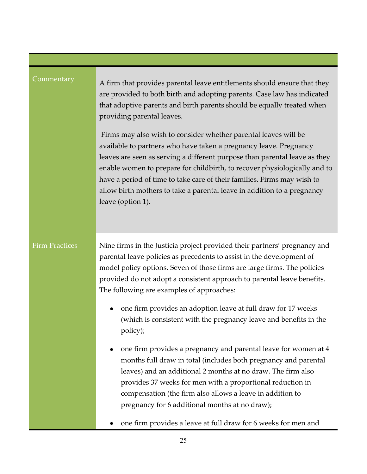| Commentary            | A firm that provides parental leave entitlements should ensure that they<br>are provided to both birth and adopting parents. Case law has indicated<br>that adoptive parents and birth parents should be equally treated when<br>providing parental leaves.<br>Firms may also wish to consider whether parental leaves will be<br>available to partners who have taken a pregnancy leave. Pregnancy<br>leaves are seen as serving a different purpose than parental leave as they<br>enable women to prepare for childbirth, to recover physiologically and to<br>have a period of time to take care of their families. Firms may wish to<br>allow birth mothers to take a parental leave in addition to a pregnancy<br>leave (option 1).                                                                                                                                                                                                                     |
|-----------------------|---------------------------------------------------------------------------------------------------------------------------------------------------------------------------------------------------------------------------------------------------------------------------------------------------------------------------------------------------------------------------------------------------------------------------------------------------------------------------------------------------------------------------------------------------------------------------------------------------------------------------------------------------------------------------------------------------------------------------------------------------------------------------------------------------------------------------------------------------------------------------------------------------------------------------------------------------------------|
| <b>Firm Practices</b> | Nine firms in the Justicia project provided their partners' pregnancy and<br>parental leave policies as precedents to assist in the development of<br>model policy options. Seven of those firms are large firms. The policies<br>provided do not adopt a consistent approach to parental leave benefits.<br>The following are examples of approaches:<br>one firm provides an adoption leave at full draw for 17 weeks<br>(which is consistent with the pregnancy leave and benefits in the<br>policy);<br>one firm provides a pregnancy and parental leave for women at 4<br>months full draw in total (includes both pregnancy and parental<br>leaves) and an additional 2 months at no draw. The firm also<br>provides 37 weeks for men with a proportional reduction in<br>compensation (the firm also allows a leave in addition to<br>pregnancy for 6 additional months at no draw);<br>one firm provides a leave at full draw for 6 weeks for men and |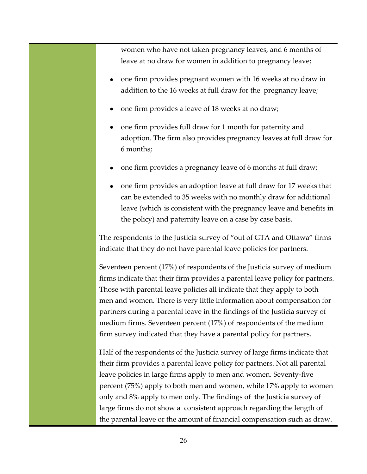women who have not taken pregnancy leaves, and 6 months of leave at no draw for women in addition to pregnancy leave;

- one firm provides pregnant women with 16 weeks at no draw in addition to the 16 weeks at full draw for the pregnancy leave;
- one firm provides a leave of 18 weeks at no draw;
- one firm provides full draw for 1 month for paternity and adoption. The firm also provides pregnancy leaves at full draw for 6 months;
- one firm provides a pregnancy leave of 6 months at full draw;
- one firm provides an adoption leave at full draw for 17 weeks that can be extended to 35 weeks with no monthly draw for additional leave (which is consistent with the pregnancy leave and benefits in the policy) and paternity leave on a case by case basis.

The respondents to the Justicia survey of "out of GTA and Ottawa" firms indicate that they do not have parental leave policies for partners.

Seventeen percent (17%) of respondents of the Justicia survey of medium firms indicate that their firm provides a parental leave policy for partners. Those with parental leave policies all indicate that they apply to both men and women. There is very little information about compensation for partners during a parental leave in the findings of the Justicia survey of medium firms. Seventeen percent (17%) of respondents of the medium firm survey indicated that they have a parental policy for partners.

Half of the respondents of the Justicia survey of large firms indicate that their firm provides a parental leave policy for partners. Not all parental leave policies in large firms apply to men and women. Seventy-five percent (75%) apply to both men and women, while 17% apply to women only and 8% apply to men only. The findings of the Justicia survey of large firms do not show a consistent approach regarding the length of the parental leave or the amount of financial compensation such as draw.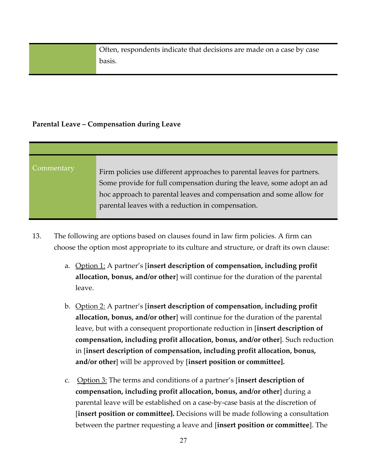Often, respondents indicate that decisions are made on a case by case basis.

#### <span id="page-26-0"></span>**Parental Leave – Compensation during Leave**

| Commentary | Firm policies use different approaches to parental leaves for partners.<br>Some provide for full compensation during the leave, some adopt an ad<br>hoc approach to parental leaves and compensation and some allow for<br>parental leaves with a reduction in compensation. |
|------------|------------------------------------------------------------------------------------------------------------------------------------------------------------------------------------------------------------------------------------------------------------------------------|

- 13. The following are options based on clauses found in law firm policies. A firm can choose the option most appropriate to its culture and structure, or draft its own clause:
	- a. **Option 1:** A partner's [insert description of compensation, including profit **allocation, bonus, and/or other**] will continue for the duration of the parental leave.
	- b. Option 2: A partner's [**insert description of compensation, including profit allocation, bonus, and/or other**] will continue for the duration of the parental leave, but with a consequent proportionate reduction in [**insert description of compensation, including profit allocation, bonus, and/or other**]. Such reduction in [**insert description of compensation, including profit allocation, bonus, and/or other**] will be approved by [**insert position or committee].**
	- c. Option 3: The terms and conditions of a partner's [**insert description of compensation, including profit allocation, bonus, and/or other**] during a parental leave will be established on a case-by-case basis at the discretion of [**insert position or committee].** Decisions will be made following a consultation between the partner requesting a leave and [**insert position or committee**]. The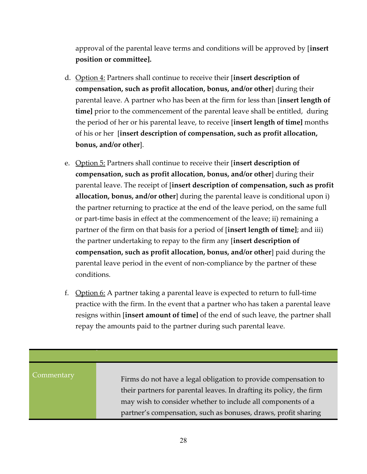approval of the parental leave terms and conditions will be approved by [**insert position or committee].** 

- d. Option 4: Partners shall continue to receive their [**insert description of compensation, such as profit allocation, bonus, and/or other**] during their parental leave. A partner who has been at the firm for less than [**insert length of time]** prior to the commencement of the parental leave shall be entitled, during the period of her or his parental leave, to receive [**insert length of time]** months of his or her [**insert description of compensation, such as profit allocation, bonus, and/or other**].
- e. Option 5: Partners shall continue to receive their [**insert description of compensation, such as profit allocation, bonus, and/or other**] during their parental leave. The receipt of [**insert description of compensation, such as profit allocation, bonus, and/or other**] during the parental leave is conditional upon i) the partner returning to practice at the end of the leave period, on the same full or part-time basis in effect at the commencement of the leave; ii) remaining a partner of the firm on that basis for a period of [**insert length of time]**; and iii) the partner undertaking to repay to the firm any [**insert description of compensation, such as profit allocation, bonus, and/or other**] paid during the parental leave period in the event of non-compliance by the partner of these conditions.
- f. Option  $6:$  A partner taking a parental leave is expected to return to full-time practice with the firm. In the event that a partner who has taken a parental leave resigns within [**insert amount of time]** of the end of such leave, the partner shall repay the amounts paid to the partner during such parental leave.

Commentary Firms do not have a legal obligation to provide compensation to their partners for parental leaves. In drafting its policy, the firm may wish to consider whether to include all components of a partner's compensation, such as bonuses, draws, profit sharing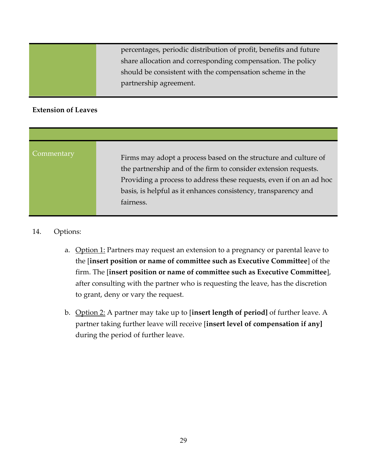percentages, periodic distribution of profit, benefits and future share allocation and corresponding compensation. The policy should be consistent with the compensation scheme in the partnership agreement.

#### <span id="page-28-0"></span> **Extension of Leaves**

| Commentary<br>Firms may adopt a process based on the structure and culture of<br>the partnership and of the firm to consider extension requests.<br>Providing a process to address these requests, even if on an ad hoc<br>basis, is helpful as it enhances consistency, transparency and<br>fairness. |  |
|--------------------------------------------------------------------------------------------------------------------------------------------------------------------------------------------------------------------------------------------------------------------------------------------------------|--|

#### 14. Options:

- a. Option 1: Partners may request an extension to a pregnancy or parental leave to the [**insert position or name of committee such as Executive Committee**] of the firm. The [**insert position or name of committee such as Executive Committee**], after consulting with the partner who is requesting the leave, has the discretion to grant, deny or vary the request.
- during the period of further leave. b. Option 2: A partner may take up to [insert length of period] of further leave. A partner taking further leave will receive [**insert level of compensation if any]**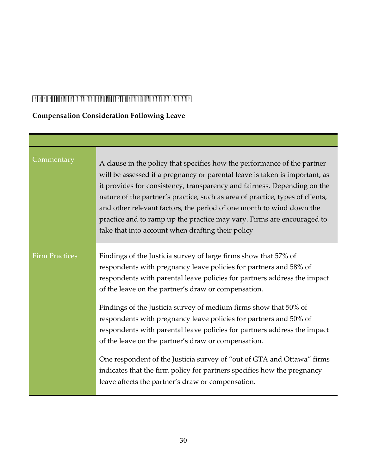# <span id="page-29-0"></span>*Compensation Review, Billing and Performance*

# <span id="page-29-1"></span>**Compensation Consideration Following Leave**

| Commentary            | A clause in the policy that specifies how the performance of the partner<br>will be assessed if a pregnancy or parental leave is taken is important, as<br>it provides for consistency, transparency and fairness. Depending on the<br>nature of the partner's practice, such as area of practice, types of clients,<br>and other relevant factors, the period of one month to wind down the<br>practice and to ramp up the practice may vary. Firms are encouraged to<br>take that into account when drafting their policy                                                                                                                                                                                                                                   |
|-----------------------|---------------------------------------------------------------------------------------------------------------------------------------------------------------------------------------------------------------------------------------------------------------------------------------------------------------------------------------------------------------------------------------------------------------------------------------------------------------------------------------------------------------------------------------------------------------------------------------------------------------------------------------------------------------------------------------------------------------------------------------------------------------|
| <b>Firm Practices</b> | Findings of the Justicia survey of large firms show that 57% of<br>respondents with pregnancy leave policies for partners and 58% of<br>respondents with parental leave policies for partners address the impact<br>of the leave on the partner's draw or compensation.<br>Findings of the Justicia survey of medium firms show that 50% of<br>respondents with pregnancy leave policies for partners and 50% of<br>respondents with parental leave policies for partners address the impact<br>of the leave on the partner's draw or compensation.<br>One respondent of the Justicia survey of "out of GTA and Ottawa" firms<br>indicates that the firm policy for partners specifies how the pregnancy<br>leave affects the partner's draw or compensation. |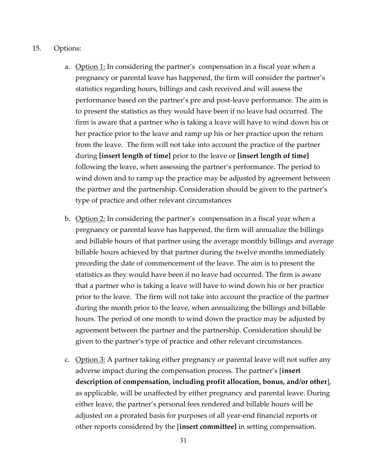#### 15. Options:

- during **[insert length of time]** prior to the leave or **[insert length of time]** a. Option 1: In considering the partner's compensation in a fiscal year when a pregnancy or parental leave has happened, the firm will consider the partner's statistics regarding hours, billings and cash received and will assess the performance based on the partner's pre and post-leave performance. The aim is to present the statistics as they would have been if no leave had occurred. The firm is aware that a partner who is taking a leave will have to wind down his or her practice prior to the leave and ramp up his or her practice upon the return from the leave. The firm will not take into account the practice of the partner following the leave, when assessing the partner's performance. The period to wind down and to ramp up the practice may be adjusted by agreement between the partner and the partnership. Consideration should be given to the partner's type of practice and other relevant circumstances
- b. Option 2: In considering the partner's compensation in a fiscal year when a pregnancy or parental leave has happened, the firm will annualize the billings and billable hours of that partner using the average monthly billings and average billable hours achieved by that partner during the twelve months immediately preceding the date of commencement of the leave. The aim is to present the statistics as they would have been if no leave had occurred. The firm is aware that a partner who is taking a leave will have to wind down his or her practice prior to the leave. The firm will not take into account the practice of the partner during the month prior to the leave, when annualizing the billings and billable hours. The period of one month to wind down the practice may be adjusted by agreement between the partner and the partnership. Consideration should be given to the partner's type of practice and other relevant circumstances.
- c. Option  $3:$  A partner taking either pregnancy or parental leave will not suffer any adverse impact during the compensation process. The partner's [**insert description of compensation, including profit allocation, bonus, and/or other**], as applicable, will be unaffected by either pregnancy and parental leave. During either leave, the partner's personal fees rendered and billable hours will be adjusted on a prorated basis for purposes of all year-end financial reports or other reports considered by the [**insert committee]** in setting compensation.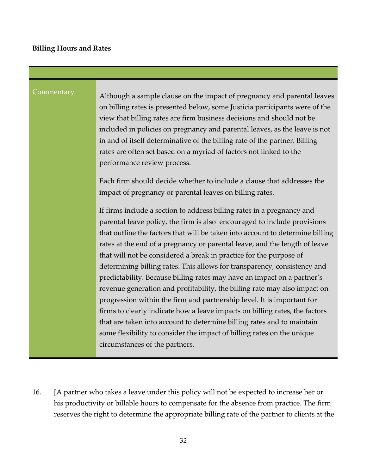#### <span id="page-31-0"></span>**Billing Hours and Rates**

Commentary Although a sample clause on the impact of pregnancy and parental leaves on billing rates is presented below, some Justicia participants were of the view that billing rates are firm business decisions and should not be included in policies on pregnancy and parental leaves, as the leave is not in and of itself determinative of the billing rate of the partner. Billing rates are often set based on a myriad of factors not linked to the performance review process.

> Each firm should decide whether to include a clause that addresses the impact of pregnancy or parental leaves on billing rates.

If firms include a section to address billing rates in a pregnancy and parental leave policy, the firm is also encouraged to include provisions that outline the factors that will be taken into account to determine billing rates at the end of a pregnancy or parental leave, and the length of leave that will not be considered a break in practice for the purpose of determining billing rates. This allows for transparency, consistency and predictability. Because billing rates may have an impact on a partner's revenue generation and profitability, the billing rate may also impact on progression within the firm and partnership level. It is important for firms to clearly indicate how a leave impacts on billing rates, the factors that are taken into account to determine billing rates and to maintain some flexibility to consider the impact of billing rates on the unique circumstances of the partners.

16. [A partner who takes a leave under this policy will not be expected to increase her or his productivity or billable hours to compensate for the absence from practice. The firm reserves the right to determine the appropriate billing rate of the partner to clients at the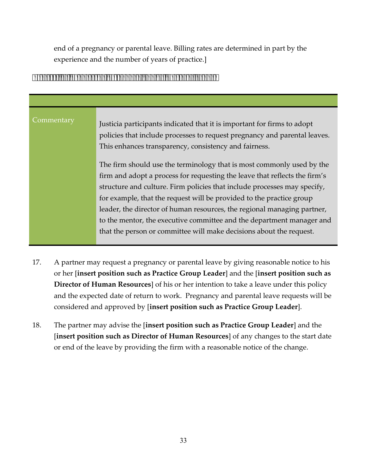experience and the number of years of practice.] end of a pregnancy or parental leave. Billing rates are determined in part by the

#### <span id="page-32-0"></span>*Process for Requesting Pregnancy and/or Parental Leave*

| Commentary | Justicia participants indicated that it is important for firms to adopt<br>policies that include processes to request pregnancy and parental leaves.<br>This enhances transparency, consistency and fairness. |
|------------|---------------------------------------------------------------------------------------------------------------------------------------------------------------------------------------------------------------|
|            | The firm should use the terminology that is most commonly used by the                                                                                                                                         |
|            | firm and adopt a process for requesting the leave that reflects the firm's                                                                                                                                    |
|            | structure and culture. Firm policies that include processes may specify,                                                                                                                                      |
|            | for example, that the request will be provided to the practice group                                                                                                                                          |
|            | leader, the director of human resources, the regional managing partner,                                                                                                                                       |
|            | to the mentor, the executive committee and the department manager and                                                                                                                                         |
|            | that the person or committee will make decisions about the request.                                                                                                                                           |

- 17. A partner may request a pregnancy or parental leave by giving reasonable notice to his or her [**insert position such as Practice Group Leader**] and the [**insert position such as Director of Human Resources**] of his or her intention to take a leave under this policy and the expected date of return to work. Pregnancy and parental leave requests will be considered and approved by [**insert position such as Practice Group Leader**].
- 18. The partner may advise the [**insert position such as Practice Group Leader**] and the [**insert position such as Director of Human Resources**] of any changes to the start date or end of the leave by providing the firm with a reasonable notice of the change.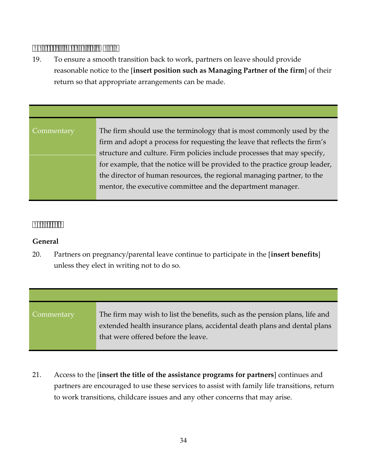#### *Notice of Return to Work*

19. To ensure a smooth transition back to work, partners on leave should provide reasonable notice to the [**insert position such as Managing Partner of the firm**] of their return so that appropriate arrangements can be made.

| Commentary | The firm should use the terminology that is most commonly used by the       |
|------------|-----------------------------------------------------------------------------|
|            | firm and adopt a process for requesting the leave that reflects the firm's  |
|            | structure and culture. Firm policies include processes that may specify,    |
|            | for example, that the notice will be provided to the practice group leader, |
|            | the director of human resources, the regional managing partner, to the      |
|            | mentor, the executive committee and the department manager.                 |
|            |                                                                             |

#### <span id="page-33-0"></span> *Benefits*

#### <span id="page-33-1"></span>**General**

20. Partners on pregnancy/parental leave continue to participate in the [**insert benefits**] unless they elect in writing not to do so.

Commentary The firm may wish to list the benefits, such as the pension plans, life and extended health insurance plans, accidental death plans and dental plans that were offered before the leave.

21. Access to the [**insert the title of the assistance programs for partners**] continues and partners are encouraged to use these services to assist with family life transitions, return to work transitions, childcare issues and any other concerns that may arise.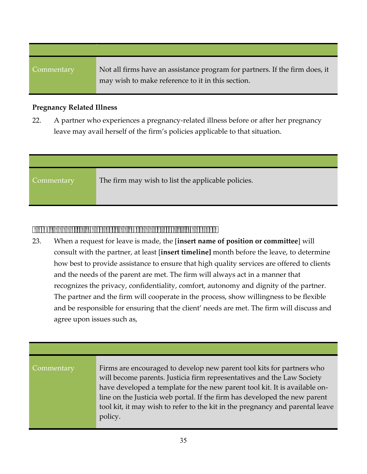Commentary Not all firms have an assistance program for partners. If the firm does, it may wish to make reference to it in this section.

#### <span id="page-34-0"></span>**Pregnancy Related Illness**

22. A partner who experiences a pregnancy-related illness before or after her pregnancy leave may avail herself of the firm's policies applicable to that situation.

| Commentary | The firm may wish to list the applicable policies. |
|------------|----------------------------------------------------|

### <span id="page-34-1"></span>*Firm Support to Partners and Responsibility of Partners*

23. When a request for leave is made, the [**insert name of position or committee**] will consult with the partner, at least [**insert timeline]** month before the leave, to determine how best to provide assistance to ensure that high quality services are offered to clients and the needs of the parent are met. The firm will always act in a manner that recognizes the privacy, confidentiality, comfort, autonomy and dignity of the partner. The partner and the firm will cooperate in the process, show willingness to be flexible and be responsible for ensuring that the client' needs are met. The firm will discuss and agree upon issues such as,

| Commentary | Firms are encouraged to develop new parent tool kits for partners who         |
|------------|-------------------------------------------------------------------------------|
|            | will become parents. Justicia firm representatives and the Law Society        |
|            | have developed a template for the new parent tool kit. It is available on-    |
|            | line on the Justicia web portal. If the firm has developed the new parent     |
|            | tool kit, it may wish to refer to the kit in the pregnancy and parental leave |
|            | policy.                                                                       |
|            |                                                                               |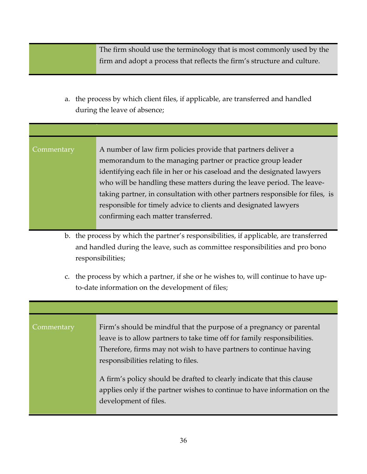The firm should use the terminology that is most commonly used by the firm and adopt a process that reflects the firm's structure and culture.

a. the process by which client files, if applicable, are transferred and handled during the leave of absence;

| Commentary | A number of law firm policies provide that partners deliver a                 |
|------------|-------------------------------------------------------------------------------|
|            | memorandum to the managing partner or practice group leader                   |
|            | identifying each file in her or his caseload and the designated lawyers       |
|            | who will be handling these matters during the leave period. The leave-        |
|            | taking partner, in consultation with other partners responsible for files, is |
|            | responsible for timely advice to clients and designated lawyers               |
|            | confirming each matter transferred.                                           |
|            |                                                                               |

- b. the process by which the partner's responsibilities, if applicable, are transferred and handled during the leave, such as committee responsibilities and pro bono responsibilities;
- c. the process by which a partner, if she or he wishes to, will continue to have upto-date information on the development of files;

| Commentary | Firm's should be mindful that the purpose of a pregnancy or parental<br>leave is to allow partners to take time off for family responsibilities.<br>Therefore, firms may not wish to have partners to continue having<br>responsibilities relating to files. |
|------------|--------------------------------------------------------------------------------------------------------------------------------------------------------------------------------------------------------------------------------------------------------------|
|            | A firm's policy should be drafted to clearly indicate that this clause<br>applies only if the partner wishes to continue to have information on the<br>development of files.                                                                                 |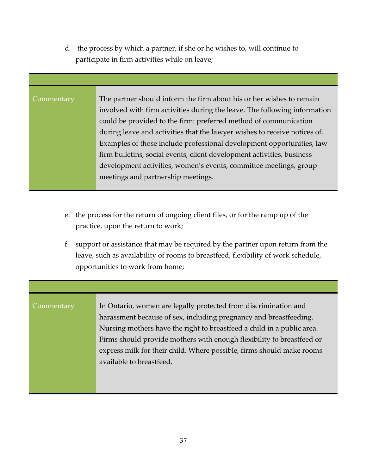d. the process by which a partner, if she or he wishes to, will continue to participate in firm activities while on leave;

Commentary The partner should inform the firm about his or her wishes to remain involved with firm activities during the leave. The following information could be provided to the firm: preferred method of communication during leave and activities that the lawyer wishes to receive notices of. Examples of those include professional development opportunities, law firm bulletins, social events, client development activities, business development activities, women's events, committee meetings, group meetings and partnership meetings.

- e. the process for the return of ongoing client files, or for the ramp up of the practice, upon the return to work;
- f. support or assistance that may be required by the partner upon return from the leave, such as availability of rooms to breastfeed, flexibility of work schedule, opportunities to work from home;

# Commentary In Ontario, women are legally protected from discrimination and harassment because of sex, including pregnancy and breastfeeding. Nursing mothers have the right to breastfeed a child in a public area. Firms should provide mothers with enough flexibility to breastfeed or express milk for their child. Where possible, firms should make rooms available to breastfeed.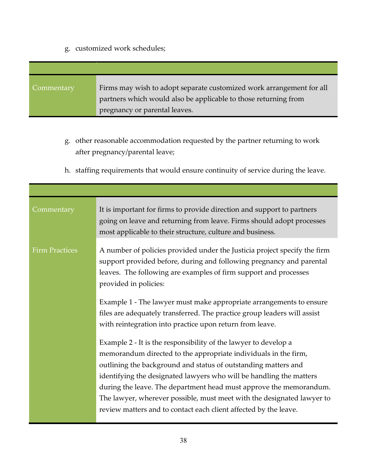### g. customized work schedules;

| Commentary | Firms may wish to adopt separate customized work arrangement for all<br>partners which would also be applicable to those returning from |
|------------|-----------------------------------------------------------------------------------------------------------------------------------------|
|            | pregnancy or parental leaves.                                                                                                           |

- g. other reasonable accommodation requested by the partner returning to work after pregnancy/parental leave;
- h. staffing requirements that would ensure continuity of service during the leave.

| Commentary            | It is important for firms to provide direction and support to partners<br>going on leave and returning from leave. Firms should adopt processes<br>most applicable to their structure, culture and business.                                                                                                                                                                                                                                                                                                                                                                                                                                                                                                                                                                                                                                                                                                                                                     |
|-----------------------|------------------------------------------------------------------------------------------------------------------------------------------------------------------------------------------------------------------------------------------------------------------------------------------------------------------------------------------------------------------------------------------------------------------------------------------------------------------------------------------------------------------------------------------------------------------------------------------------------------------------------------------------------------------------------------------------------------------------------------------------------------------------------------------------------------------------------------------------------------------------------------------------------------------------------------------------------------------|
| <b>Firm Practices</b> | A number of policies provided under the Justicia project specify the firm<br>support provided before, during and following pregnancy and parental<br>leaves. The following are examples of firm support and processes<br>provided in policies:<br>Example 1 - The lawyer must make appropriate arrangements to ensure<br>files are adequately transferred. The practice group leaders will assist<br>with reintegration into practice upon return from leave.<br>Example 2 - It is the responsibility of the lawyer to develop a<br>memorandum directed to the appropriate individuals in the firm,<br>outlining the background and status of outstanding matters and<br>identifying the designated lawyers who will be handling the matters<br>during the leave. The department head must approve the memorandum.<br>The lawyer, wherever possible, must meet with the designated lawyer to<br>review matters and to contact each client affected by the leave. |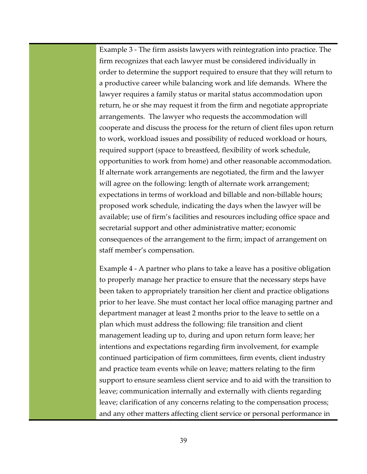Example 3 - The firm assists lawyers with reintegration into practice. The firm recognizes that each lawyer must be considered individually in order to determine the support required to ensure that they will return to a productive career while balancing work and life demands. Where the lawyer requires a family status or marital status accommodation upon return, he or she may request it from the firm and negotiate appropriate arrangements. The lawyer who requests the accommodation will cooperate and discuss the process for the return of client files upon return to work, workload issues and possibility of reduced workload or hours, required support (space to breastfeed, flexibility of work schedule, opportunities to work from home) and other reasonable accommodation. If alternate work arrangements are negotiated, the firm and the lawyer will agree on the following: length of alternate work arrangement; expectations in terms of workload and billable and non-billable hours; proposed work schedule, indicating the days when the lawyer will be available; use of firm's facilities and resources including office space and secretarial support and other administrative matter; economic consequences of the arrangement to the firm; impact of arrangement on staff member's compensation.

 continued participation of firm committees, firm events, client industry Example 4 - A partner who plans to take a leave has a positive obligation to properly manage her practice to ensure that the necessary steps have been taken to appropriately transition her client and practice obligations prior to her leave. She must contact her local office managing partner and department manager at least 2 months prior to the leave to settle on a plan which must address the following: file transition and client management leading up to, during and upon return form leave; her intentions and expectations regarding firm involvement, for example and practice team events while on leave; matters relating to the firm support to ensure seamless client service and to aid with the transition to leave; communication internally and externally with clients regarding leave; clarification of any concerns relating to the compensation process; and any other matters affecting client service or personal performance in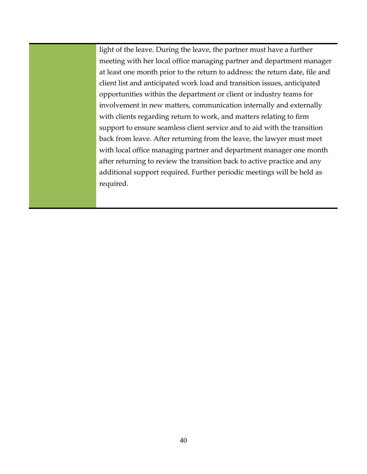light of the leave. During the leave, the partner must have a further meeting with her local office managing partner and department manager at least one month prior to the return to address: the return date, file and client list and anticipated work load and transition issues, anticipated opportunities within the department or client or industry teams for involvement in new matters, communication internally and externally with clients regarding return to work, and matters relating to firm support to ensure seamless client service and to aid with the transition back from leave. After returning from the leave, the lawyer must meet with local office managing partner and department manager one month after returning to review the transition back to active practice and any additional support required. Further periodic meetings will be held as required.